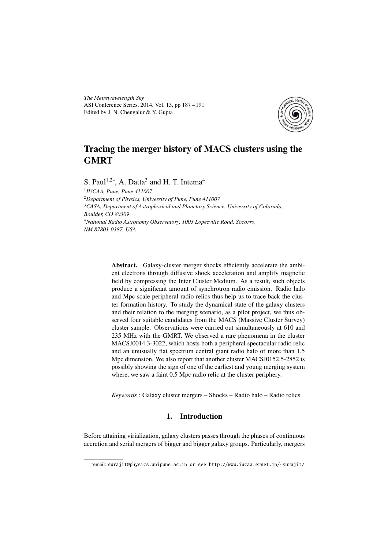*The Metrewavelength Sky* ASI Conference Series, 2014, Vol. 13, pp 187 – 191 Edited by J. N. Chengalur & Y. Gupta



# Tracing the merger history of MACS clusters using the **GMRT**

S. Paul<sup>1,2\*</sup>, A. Datta<sup>3</sup> and H. T. Intema<sup>4</sup>

 *IUCAA, Pune, Pune 411007 Department of Physics, University of Pune, Pune 411007 CASA, Department of Astrophysical and Planetary Science, University of Colorado, Boulder, CO 80309 National Radio Astronomy Observatory, 1003 Lopezville Road, Socorro, NM 87801-0387, USA*

> Abstract. Galaxy-cluster merger shocks efficiently accelerate the ambient electrons through diffusive shock acceleration and amplify magnetic field by compressing the Inter Cluster Medium. As a result, such objects produce a significant amount of synchrotron radio emission. Radio halo and Mpc scale peripheral radio relics thus help us to trace back the cluster formation history. To study the dynamical state of the galaxy clusters and their relation to the merging scenario, as a pilot project, we thus observed four suitable candidates from the MACS (Massive Cluster Survey) cluster sample. Observations were carried out simultaneously at 610 and 235 MHz with the GMRT. We observed a rare phenomena in the cluster MACSJ0014.3-3022, which hosts both a peripheral spectacular radio relic and an unusually flat spectrum central giant radio halo of more than 1.5 Mpc dimension. We also report that another cluster MACSJ0152.5-2852 is possibly showing the sign of one of the earliest and young merging system where, we saw a faint 0.5 Mpc radio relic at the cluster periphery.

*Keywords* : Galaxy cluster mergers – Shocks – Radio halo – Radio relics

# 1. Introduction

Before attaining virialization, galaxy clusters passes through the phases of continuous accretion and serial mergers of bigger and bigger galaxy groups. Particularly, mergers

<sup>∗</sup> email: surajit@physics.unipune.ac.in or see http://www.iucaa.ernet.in/~surajit/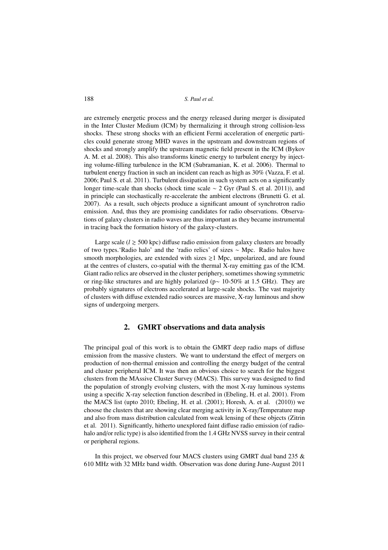188 *S. Paul et al.*

are extremely energetic process and the energy released during merger is dissipated in the Inter Cluster Medium (ICM) by thermalizing it through strong collision-less shocks. These strong shocks with an efficient Fermi acceleration of energetic particles could generate strong MHD waves in the upstream and downstream regions of shocks and strongly amplify the upstream magnetic field present in the ICM (Bykov A. M. et al. 2008). This also transforms kinetic energy to turbulent energy by injecting volume-filling turbulence in the ICM (Subramanian, K. et al. 2006). Thermal to turbulent energy fraction in such an incident can reach as high as 30% (Vazza, F. et al. 2006; Paul S. et al. 2011). Turbulent dissipation in such system acts on a significantly longer time-scale than shocks (shock time scale ∼ 2 Gyr (Paul S. et al. 2011)), and in principle can stochastically re-accelerate the ambient electrons (Brunetti G. et al. 2007). As a result, such objects produce a significant amount of synchrotron radio emission. And, thus they are promising candidates for radio observations. Observations of galaxy clusters in radio waves are thus important as they became instrumental in tracing back the formation history of the galaxy-clusters.

Large scale ( $l \ge 500$  kpc) diffuse radio emission from galaxy clusters are broadly of two types.'Radio halo' and the 'radio relics' of sizes ∼ Mpc. Radio halos have smooth morphologies, are extended with sizes  $\geq 1$  Mpc, unpolarized, and are found at the centres of clusters, co-spatial with the thermal X-ray emitting gas of the ICM. Giant radio relics are observed in the cluster periphery, sometimes showing symmetric or ring-like structures and are highly polarized (p∼ 10-50% at 1.5 GHz). They are probably signatures of electrons accelerated at large-scale shocks. The vast majority of clusters with diffuse extended radio sources are massive, X-ray luminous and show signs of undergoing mergers.

## 2. GMRT observations and data analysis

The principal goal of this work is to obtain the GMRT deep radio maps of diffuse emission from the massive clusters. We want to understand the effect of mergers on production of non-thermal emission and controlling the energy budget of the central and cluster peripheral ICM. It was then an obvious choice to search for the biggest clusters from the MAssive Cluster Survey (MACS). This survey was designed to find the population of strongly evolving clusters, with the most X-ray luminous systems using a specific X-ray selection function described in (Ebeling, H. et al. 2001). From the MACS list (upto 2010; Ebeling, H. et al. (2001); Horesh, A. et al. (2010)) we choose the clusters that are showing clear merging activity in X-ray/Temperature map and also from mass distribution calculated from weak lensing of these objects (Zitrin et al. 2011). Significantly, hitherto unexplored faint diffuse radio emission (of radiohalo and/or relic type) is also identified from the 1.4 GHz NVSS survey in their central or peripheral regions.

In this project, we observed four MACS clusters using GMRT dual band 235  $\&$ 610 MHz with 32 MHz band width. Observation was done during June-August 2011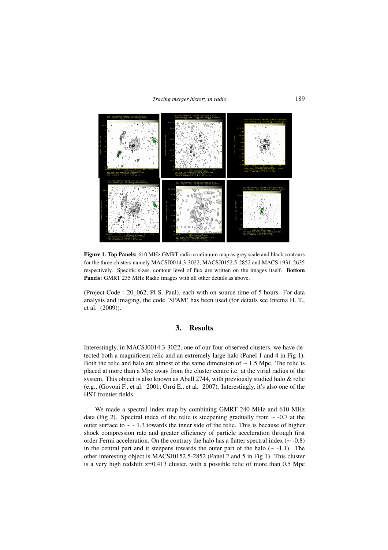#### *Tracing merger history in radio* 189



Figure 1. Top Panels: 610 MHz GMRT radio continuum map as grey scale and black contours for the three clusters namely MACSJ0014.3-3022, MACSJ0152.5-2852 and MACS 1931-2635 respectively. Specific sizes, contour level of flux are written on the images itself. Bottom Panels: GMRT 235 MHz Radio images with all other details as above.

(Project Code : 20\_062, PI S. Paul), each with on source time of 5 hours. For data analysis and imaging, the code 'SPAM' has been used (for details see Intema H. T., et al. (2009)).

#### 3. Results

Interestingly, in MACSJ0014.3-3022, one of our four observed clusters, we have detected both a magnificent relic and an extremely large halo (Panel 1 and 4 in Fig 1). Both the relic and halo are almost of the same dimension of  $\sim 1.5$  Mpc. The relic is placed at more than a Mpc away from the cluster centre i.e. at the virial radius of the system. This object is also known as Abell 2744, with previously studied halo & relic (e.g., (Govoni F., et al. 2001; Orrú E., et al. 2007). Interestingly, it's also one of the HST frontier fields.

We made a spectral index map by combining GMRT 240 MHz and 610 MHz data (Fig 2). Spectral index of the relic is steepening gradually from ∼ -0.7 at the outer surface to ∼ - 1.3 towards the inner side of the relic. This is because of higher shock compression rate and greater efficiency of particle acceleration through first order Fermi acceleration. On the contrary the halo has a flatter spectral index (∼ -0.8) in the central part and it steepens towards the outer part of the halo (∼ -1.1). The other interesting object is MACSJ0152.5-2852 (Panel 2 and 5 in Fig 1). This cluster is a very high redshift z=0.413 cluster, with a possible relic of more than 0.5 Mpc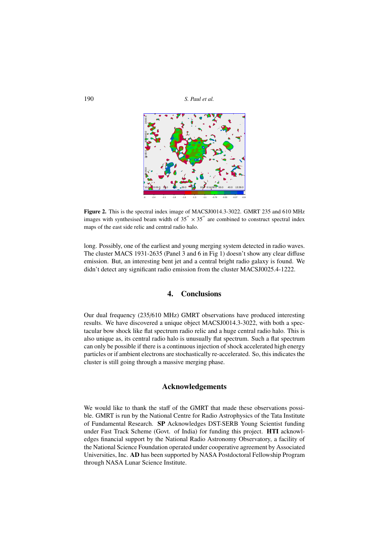190 *S. Paul et al.*



Figure 2. This is the spectral index image of MACSJ0014.3-3022. GMRT 235 and 610 MHz images with synthesised beam width of  $35'' \times 35''$  are combined to construct spectral index maps of the east side relic and central radio halo.

long. Possibly, one of the earliest and young merging system detected in radio waves. The cluster MACS 1931-2635 (Panel 3 and 6 in Fig 1) doesn't show any clear diffuse emission. But, an interesting bent jet and a central bright radio galaxy is found. We didn't detect any significant radio emission from the cluster MACSJ0025.4-1222.

# 4. Conclusions

Our dual frequency (235/610 MHz) GMRT observations have produced interesting results. We have discovered a unique object MACSJ0014.3-3022, with both a spectacular bow shock like flat spectrum radio relic and a huge central radio halo. This is also unique as, its central radio halo is unusually flat spectrum. Such a flat spectrum can only be possible if there is a continuous injection of shock accelerated high energy particles or if ambient electrons are stochastically re-accelerated. So, this indicates the cluster is still going through a massive merging phase.

## Acknowledgements

We would like to thank the staff of the GMRT that made these observations possible. GMRT is run by the National Centre for Radio Astrophysics of the Tata Institute of Fundamental Research. SP Acknowledges DST-SERB Young Scientist funding under Fast Track Scheme (Govt. of India) for funding this project. HTI acknowledges financial support by the National Radio Astronomy Observatory, a facility of the National Science Foundation operated under cooperative agreement by Associated Universities, Inc. AD has been supported by NASA Postdoctoral Fellowship Program through NASA Lunar Science Institute.